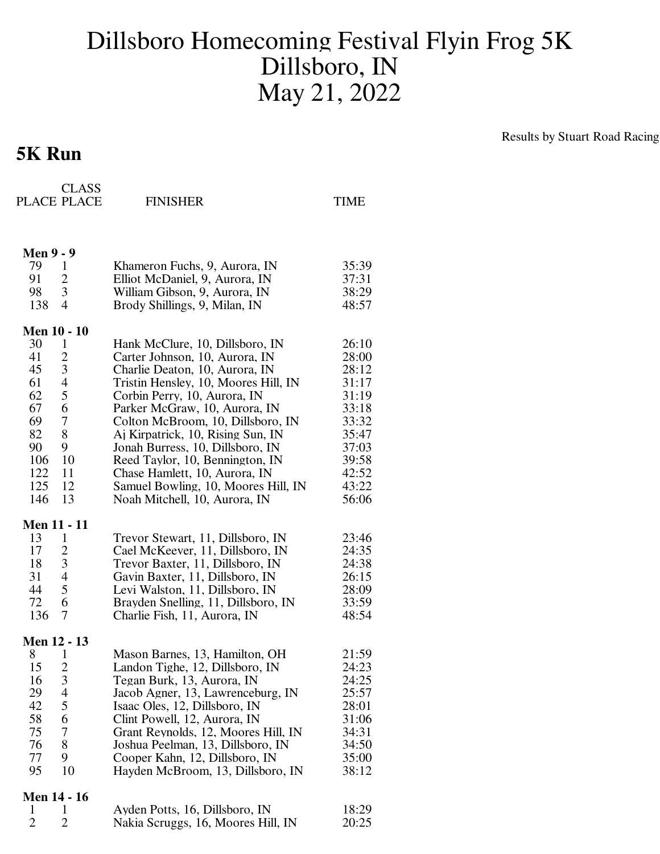## Dillsboro Homecoming Festival Flyin Frog 5K Dillsboro, IN May 21, 2022

## **5K Run**

Results by Stuart Road Racing

|                        | <b>CLASS</b><br>PLACE PLACE | <b>FINISHER</b>                      | TIME  |
|------------------------|-----------------------------|--------------------------------------|-------|
| <b>Men 9 - 9</b><br>79 | 1                           | Khameron Fuchs, 9, Aurora, IN        | 35:39 |
| 91                     | $\overline{c}$              | Elliot McDaniel, 9, Aurora, IN       | 37:31 |
| 98                     | 3                           | William Gibson, 9, Aurora, IN        | 38:29 |
| 138                    | $\overline{4}$              | Brody Shillings, 9, Milan, IN        | 48:57 |
| <b>Men 10 - 10</b>     |                             |                                      |       |
| 30                     | 1                           | Hank McClure, 10, Dillsboro, IN      | 26:10 |
| 41                     | $\overline{c}$              | Carter Johnson, 10, Aurora, IN       | 28:00 |
| 45                     | $\mathfrak{Z}$              | Charlie Deaton, 10, Aurora, IN       | 28:12 |
| 61                     | $\overline{4}$              | Tristin Hensley, 10, Moores Hill, IN | 31:17 |
| 62                     | 5                           | Corbin Perry, 10, Aurora, IN         | 31:19 |
| 67                     | 6                           | Parker McGraw, 10, Aurora, IN        | 33:18 |
| 69                     | $\boldsymbol{7}$            | Colton McBroom, 10, Dillsboro, IN    | 33:32 |
| 82                     | 8                           | Aj Kirpatrick, 10, Rising Sun, IN    | 35:47 |
| 90                     | 9                           | Jonah Burress, 10, Dillsboro, IN     | 37:03 |
| 106                    | 10                          | Reed Taylor, 10, Bennington, IN      | 39:58 |
| 122                    | 11                          | Chase Hamlett, 10, Aurora, IN        | 42:52 |
| 125                    | 12                          | Samuel Bowling, 10, Moores Hill, IN  | 43:22 |
| 146                    | 13                          | Noah Mitchell, 10, Aurora, IN        | 56:06 |
| <b>Men 11 - 11</b>     |                             |                                      |       |
| 13                     | 1                           | Trevor Stewart, 11, Dillsboro, IN    | 23:46 |
| 17                     | $\overline{2}$              | Cael McKeever, 11, Dillsboro, IN     | 24:35 |
| 18                     | $\mathfrak{Z}$              | Trevor Baxter, 11, Dillsboro, IN     | 24:38 |
| 31                     | $\overline{4}$              | Gavin Baxter, 11, Dillsboro, IN      | 26:15 |
| 44                     | 5                           | Levi Walston, 11, Dillsboro, IN      | 28:09 |
| 72                     | 6                           | Brayden Snelling, 11, Dillsboro, IN  | 33:59 |
| 136                    | 7                           | Charlie Fish, 11, Aurora, IN         | 48:54 |
| Men 12 - 13            |                             |                                      |       |
| 8                      | 1                           | Mason Barnes, 13, Hamilton, OH       | 21:59 |
| 15                     | $\overline{c}$              | Landon Tighe, 12, Dillsboro, IN      | 24:23 |
| 16                     | 3                           | Tegan Burk, 13, Aurora, IN           | 24:25 |
| 29                     | $\overline{\mathcal{L}}$    | Jacob Agner, 13, Lawrenceburg, IN    | 25:57 |
| 42                     | 5                           | Isaac Oles, 12, Dillsboro, IN        | 28:01 |
| 58                     | 6                           | Clint Powell, 12, Aurora, IN         | 31:06 |
| 75                     | $\overline{7}$              | Grant Reynolds, 12, Moores Hill, IN  | 34:31 |
| 76                     | 8                           | Joshua Peelman, 13, Dillsboro, IN    | 34:50 |
| 77                     | 9                           | Cooper Kahn, 12, Dillsboro, IN       | 35:00 |
| 95                     | 10                          | Hayden McBroom, 13, Dillsboro, IN    | 38:12 |
| <b>Men 14 - 16</b>     |                             |                                      |       |
| 1                      | 1                           | Ayden Potts, 16, Dillsboro, IN       | 18:29 |
| $\overline{2}$         | $\overline{2}$              | Nakia Scruggs, 16, Moores Hill, IN   | 20:25 |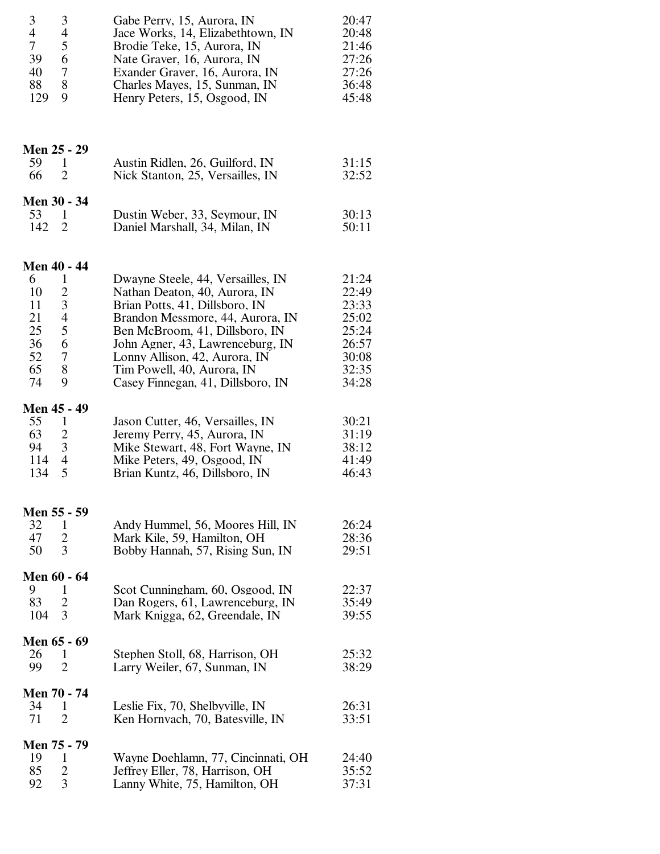| 3<br>3<br>$\overline{4}$<br>4<br>5<br>$\overline{7}$<br>39<br>6<br>$\tau$<br>40<br>88<br>8<br>9<br>129                                              | Gabe Perry, 15, Aurora, IN<br>Jace Works, 14, Elizabethtown, IN<br>Brodie Teke, 15, Aurora, IN<br>Nate Graver, 16, Aurora, IN<br>Exander Graver, 16, Aurora, IN<br>Charles Mayes, 15, Sunman, IN<br>Henry Peters, 15, Osgood, IN                                                                                   | 20:47<br>20:48<br>21:46<br>27:26<br>27:26<br>36:48<br>45:48                   |
|-----------------------------------------------------------------------------------------------------------------------------------------------------|--------------------------------------------------------------------------------------------------------------------------------------------------------------------------------------------------------------------------------------------------------------------------------------------------------------------|-------------------------------------------------------------------------------|
| Men 25 - 29<br>59<br>$\mathbf{1}$<br>66<br>$\overline{2}$                                                                                           | Austin Ridlen, 26, Guilford, IN<br>Nick Stanton, 25, Versailles, IN                                                                                                                                                                                                                                                | 31:15<br>32:52                                                                |
| Men 30 - 34<br>53<br>1<br>142<br>$\overline{2}$                                                                                                     | Dustin Weber, 33, Seymour, IN<br>Daniel Marshall, 34, Milan, IN                                                                                                                                                                                                                                                    | 30:13<br>50:11                                                                |
| <b>Men 40 - 44</b><br>6<br>1<br>2<br>10<br>3<br>11<br>21<br>$\overline{4}$<br>5<br>25<br>36<br>$\overline{6}$<br>52<br>$\tau$<br>65<br>8<br>9<br>74 | Dwayne Steele, 44, Versailles, IN<br>Nathan Deaton, 40, Aurora, IN<br>Brian Potts, 41, Dillsboro, IN<br>Brandon Messmore, 44, Aurora, IN<br>Ben McBroom, 41, Dillsboro, IN<br>John Agner, 43, Lawrenceburg, IN<br>Lonny Allison, 42, Aurora, IN<br>Tim Powell, 40, Aurora, IN<br>Casey Finnegan, 41, Dillsboro, IN | 21:24<br>22:49<br>23:33<br>25:02<br>25:24<br>26:57<br>30:08<br>32:35<br>34:28 |
| Men 45 - 49<br>55<br>1<br>63<br>$\overline{2}$<br>$\overline{\phantom{a}}$<br>94<br>114<br>$\overline{4}$<br>5<br>134                               | Jason Cutter, 46, Versailles, IN<br>Jeremy Perry, 45, Aurora, IN<br>Mike Stewart, 48, Fort Wayne, IN<br>Mike Peters, 49, Osgood, IN<br>Brian Kuntz, 46, Dillsboro, IN                                                                                                                                              | 30:21<br>31:19<br>38:12<br>41:49<br>46:43                                     |
| Men 55 - 59<br>32<br>1<br>47<br>2<br>3<br>50                                                                                                        | Andy Hummel, 56, Moores Hill, IN<br>Mark Kile, 59, Hamilton, OH<br>Bobby Hannah, 57, Rising Sun, IN                                                                                                                                                                                                                | 26:24<br>28:36<br>29:51                                                       |
| Men 60 - 64<br>9<br>1<br>83<br>2<br>104<br>3                                                                                                        | Scot Cunningham, 60, Osgood, IN<br>Dan Rogers, 61, Lawrenceburg, IN<br>Mark Knigga, 62, Greendale, IN                                                                                                                                                                                                              | 22:37<br>35:49<br>39:55                                                       |
| Men 65 - 69<br>26<br>1<br>99<br>$\overline{2}$                                                                                                      | Stephen Stoll, 68, Harrison, OH<br>Larry Weiler, 67, Sunman, IN                                                                                                                                                                                                                                                    | 25:32<br>38:29                                                                |
| Men 70 - 74<br>34<br>1<br>71<br>$\overline{2}$                                                                                                      | Leslie Fix, 70, Shelbyville, IN<br>Ken Hornvach, 70, Batesville, IN                                                                                                                                                                                                                                                | 26:31<br>33:51                                                                |
| Men 75 - 79<br>19<br>1<br>85<br>2<br>3<br>92                                                                                                        | Wayne Doehlamn, 77, Cincinnati, OH<br>Jeffrey Eller, 78, Harrison, OH<br>Lanny White, 75, Hamilton, OH                                                                                                                                                                                                             | 24:40<br>35:52<br>37:31                                                       |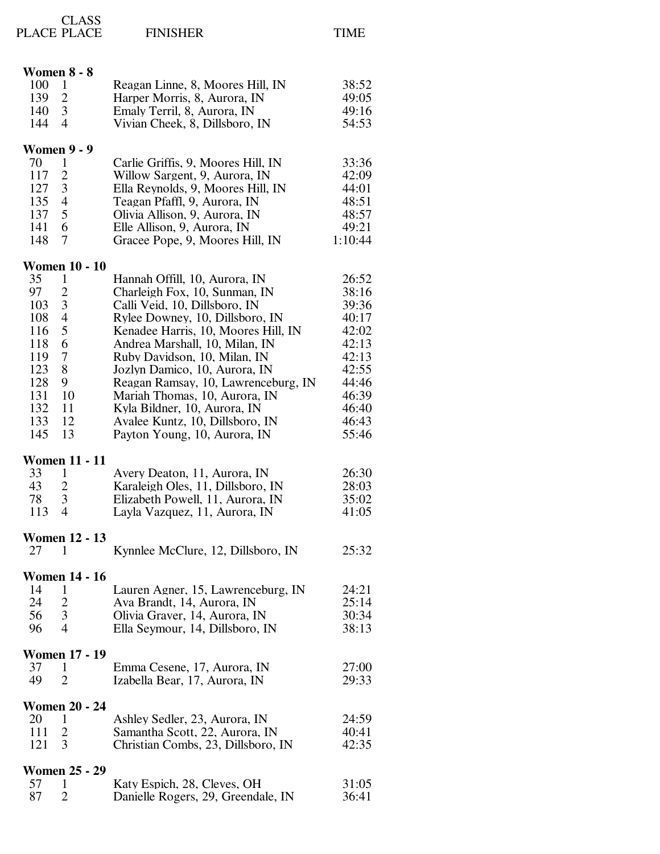|     | <b>CLASS</b><br>PLACE PLACE | <b>FINISHER</b>                     | <b>TIME</b> |
|-----|-----------------------------|-------------------------------------|-------------|
|     | <b>Women 8 - 8</b>          |                                     |             |
| 100 | $\mathbf{1}$                | Reagan Linne, 8, Moores Hill, IN    | 38:52       |
| 139 | $\overline{c}$              | Harper Morris, 8, Aurora, IN        | 49:05       |
| 140 | 3                           | Emaly Terril, 8, Aurora, IN         | 49:16       |
| 144 | $\overline{4}$              | Vivian Cheek, 8, Dillsboro, IN      | 54:53       |
|     | <b>Women 9 - 9</b>          |                                     |             |
| 70  | 1                           | Carlie Griffis, 9, Moores Hill, IN  | 33:36       |
| 117 | $\overline{2}$              | Willow Sargent, 9, Aurora, IN       | 42:09       |
| 127 | 3                           | Ella Reynolds, 9, Moores Hill, IN   | 44:01       |
| 135 | $\overline{4}$              | Teagan Pfaffl, 9, Aurora, IN        | 48:51       |
| 137 | 5                           | Olivia Allison, 9, Aurora, IN       | 48:57       |
| 141 | 6                           | Elle Allison, 9, Aurora, IN         | 49:21       |
| 148 | 7                           | Gracee Pope, 9, Moores Hill, IN     | 1:10:44     |
|     | <b>Women 10 - 10</b>        |                                     |             |
| 35  | 1                           | Hannah Offill, 10, Aurora, IN       | 26:52       |
| 97  | $\overline{c}$              | Charleigh Fox, 10, Sunman, IN       | 38:16       |
| 103 | $\mathfrak{Z}$              | Calli Veid, 10, Dillsboro, IN       | 39:36       |
| 108 | $\overline{4}$              | Rylee Downey, 10, Dillsboro, IN     | 40:17       |
| 116 | 5                           | Kenadee Harris, 10, Moores Hill, IN | 42:02       |
| 118 | 6                           | Andrea Marshall, 10, Milan, IN      | 42:13       |
| 119 | 7                           | Ruby Davidson, 10, Milan, IN        | 42:13       |
| 123 | 8                           | Jozlyn Damico, 10, Aurora, IN       | 42:55       |
| 128 | 9                           | Reagan Ramsay, 10, Lawrenceburg, IN | 44:46       |
| 131 | 10                          | Mariah Thomas, 10, Aurora, IN       | 46:39       |
| 132 | 11                          | Kyla Bildner, 10, Aurora, IN        | 46:40       |

| <b>Women 11 - 11</b><br>33<br>1<br>43<br>$\overline{2}$<br>3<br>78<br>4<br>113 | Avery Deaton, 11, Aurora, IN<br>Karaleigh Oles, 11, Dillsboro, IN<br>Elizabeth Powell, 11, Aurora, IN<br>Layla Vazquez, 11, Aurora, IN | 26:30<br>28:03<br>35:02<br>41:05 |
|--------------------------------------------------------------------------------|----------------------------------------------------------------------------------------------------------------------------------------|----------------------------------|
| <b>Women 12 - 13</b><br>27<br>1                                                | Kynnlee McClure, 12, Dillsboro, IN                                                                                                     | 25:32                            |
| <b>Women 14 - 16</b><br>14<br>1<br>24<br>$\overline{c}$<br>3<br>56<br>4<br>96  | Lauren Agner, 15, Lawrenceburg, IN<br>Ava Brandt, 14, Aurora, IN<br>Olivia Graver, 14, Aurora, IN<br>Ella Seymour, 14, Dillsboro, IN   | 24:21<br>25:14<br>30:34<br>38:13 |
| <b>Women 17 - 19</b><br>37<br>1<br>$\overline{2}$<br>49                        | Emma Cesene, 17, Aurora, IN<br>Izabella Bear, 17, Aurora, IN                                                                           | 27:00<br>29:33                   |
| <b>Women 20 - 24</b><br>20<br>1<br>111<br>$\overline{2}$<br>3<br>121           | Ashley Sedler, 23, Aurora, IN<br>Samantha Scott, 22, Aurora, IN<br>Christian Combs, 23, Dillsboro, IN                                  | 24:59<br>40:41<br>42:35          |
| <b>Women 25 - 29</b><br>57<br>1<br>87<br>2                                     | Katy Espich, 28, Cleves, OH<br>Danielle Rogers, 29, Greendale, IN                                                                      | 31:05<br>36:41                   |

133 12 Avalee Kuntz, 10, Dillsboro, IN 46:43 13 Payton Young, 10, Aurora, IN 55:46

 $1:10:44$